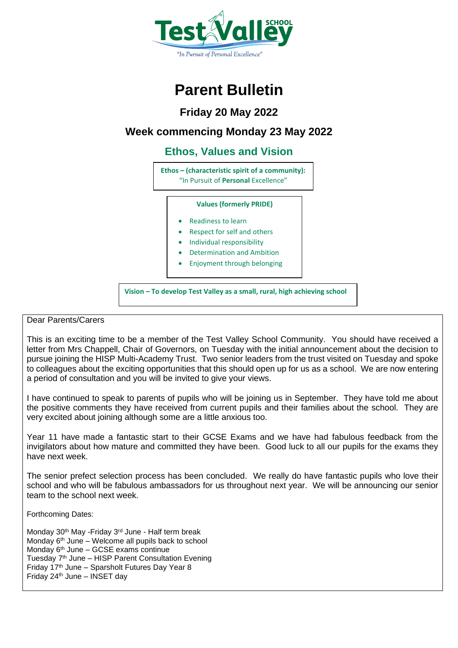

# **Parent Bulletin**

**Friday 20 May 2022**

## **Week commencing Monday 23 May 2022**

## **Ethos, Values and Vision**

**Ethos – (characteristic spirit of a community):** "In Pursuit of **Personal** Excellence"

### **Values (formerly PRIDE)**

- Readiness to learn
- Respect for self and others
- Individual responsibility
- Determination and Ambition
- Enjoyment through belonging

**Vision – To develop Test Valley as a small, rural, high achieving school**

### Dear Parents/Carers

This is an exciting time to be a member of the Test Valley School Community. You should have received a letter from Mrs Chappell, Chair of Governors, on Tuesday with the initial announcement about the decision to pursue joining the HISP Multi-Academy Trust. Two senior leaders from the trust visited on Tuesday and spoke to colleagues about the exciting opportunities that this should open up for us as a school. We are now entering a period of consultation and you will be invited to give your views.

I have continued to speak to parents of pupils who will be joining us in September. They have told me about the positive comments they have received from current pupils and their families about the school. They are very excited about joining although some are a little anxious too.

Year 11 have made a fantastic start to their GCSE Exams and we have had fabulous feedback from the invigilators about how mature and committed they have been. Good luck to all our pupils for the exams they have next week.

The senior prefect selection process has been concluded. We really do have fantastic pupils who love their school and who will be fabulous ambassadors for us throughout next year. We will be announcing our senior team to the school next week.

Forthcoming Dates:

Monday 30<sup>th</sup> May -Friday 3<sup>rd</sup> June - Half term break Monday  $6<sup>th</sup>$  June – Welcome all pupils back to school Monday 6<sup>th</sup> June – GCSE exams continue Tuesday  $7<sup>th</sup>$  June – HISP Parent Consultation Evening Friday 17th June – Sparsholt Futures Day Year 8 Friday 24th June – INSET day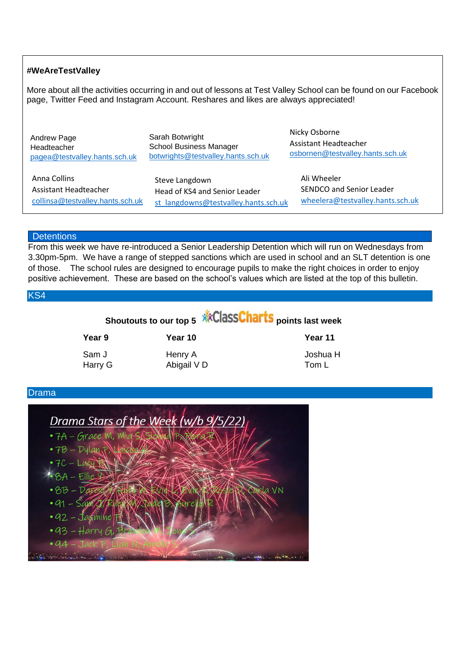### **#WeAreTestValley**

More about all the activities occurring in and out of lessons at Test Valley School can be found on our Facebook page, Twitter Feed and Instagram Account. Reshares and likes are always appreciated!

| Andrew Page                      | Sarah Botwright                      | Nicky Osborne                    |
|----------------------------------|--------------------------------------|----------------------------------|
| Headteacher                      | <b>School Business Manager</b>       | Assistant Headteacher            |
| pagea@testvalley.hants.sch.uk    | botwrights@testvalley.hants.sch.uk   | osbornen@testvalley.hants.sch.uk |
| Anna Collins                     | Steve Langdown                       | Ali Wheeler                      |
| Assistant Headteacher            | Head of KS4 and Senior Leader        | SENDCO and Senior Leader         |
| collinsa@testvalley.hants.sch.uk | st langdowns@testvalley.hants.sch.uk | wheelera@testvalley.hants.sch.uk |

### **Detentions**

From this week we have re-introduced a Senior Leadership Detention which will run on Wednesdays from 3.30pm-5pm. We have a range of stepped sanctions which are used in school and an SLT detention is one of those. The school rules are designed to encourage pupils to make the right choices in order to enjoy positive achievement. These are based on the school's values which are listed at the top of this bulletin.

KS4

|                  |                        | Shoutouts to our top 5 <b>XXClaSSCharts</b> points last week |  |  |
|------------------|------------------------|--------------------------------------------------------------|--|--|
| Year 9           | Year 10                | Year 11                                                      |  |  |
| Sam J<br>Harry G | Henry A<br>Abigail V D | Joshua H<br>Tom L                                            |  |  |

### Drama

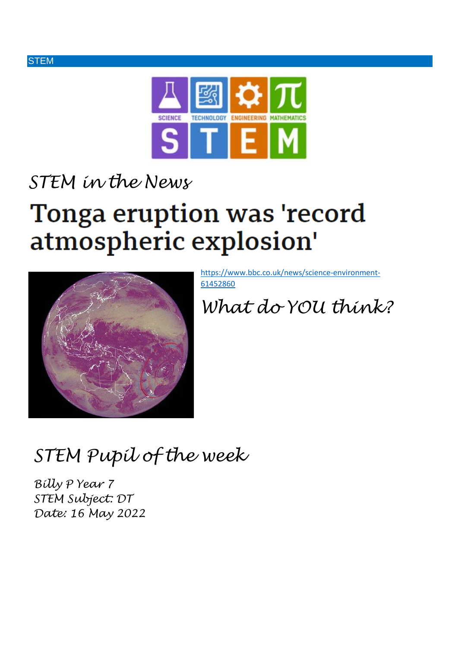



# *STEM in the News*

# Tonga eruption was 'record atmospheric explosion'



[https://www.bbc.co.uk/news/science-environment-](https://www.bbc.co.uk/news/science-environment-61452860)[61452860](https://www.bbc.co.uk/news/science-environment-61452860)

*What do YOU think?*

*STEM Pupil of the week*

*Billy P Year 7 STEM Subject: DT Date: 16 May 2022*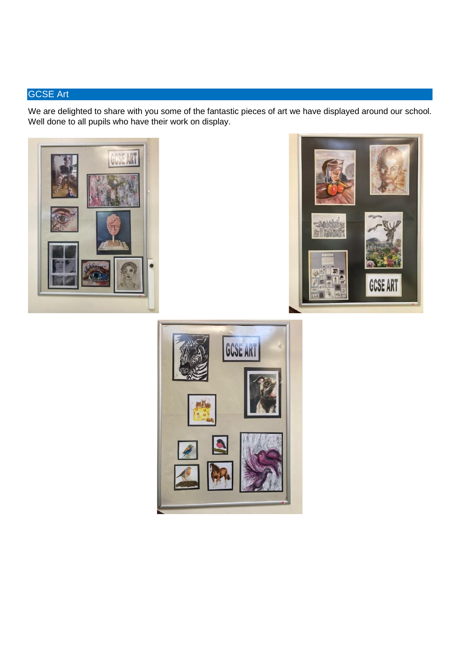## GCSE Art

We are delighted to share with you some of the fantastic pieces of art we have displayed around our school. Well done to all pupils who have their work on display.





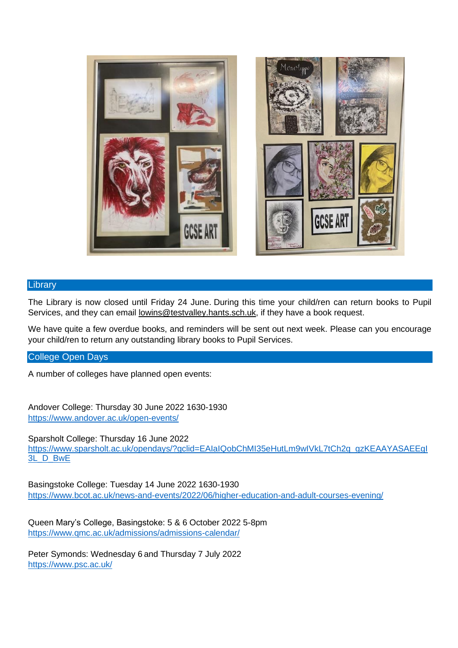

### **Library**

The Library is now closed until Friday 24 June. During this time your child/ren can return books to Pupil Services, and they can email [lowins@testvalley.hants.sch.uk,](mailto:lowins@testvalley.hants.sch.uk) if they have a book request.

We have quite a few overdue books, and reminders will be sent out next week. Please can you encourage your child/ren to return any outstanding library books to Pupil Services.

### College Open Days

A number of colleges have planned open events:

Andover College: Thursday 30 June 2022 1630-1930 <https://www.andover.ac.uk/open-events/>

Sparsholt College: Thursday 16 June 2022 [https://www.sparsholt.ac.uk/opendays/?gclid=EAIaIQobChMI35eHutLm9wIVkL7tCh2q\\_gzKEAAYASAEEgI](https://www.sparsholt.ac.uk/opendays/?gclid=EAIaIQobChMI35eHutLm9wIVkL7tCh2q_gzKEAAYASAEEgI3L_D_BwE) [3L\\_D\\_BwE](https://www.sparsholt.ac.uk/opendays/?gclid=EAIaIQobChMI35eHutLm9wIVkL7tCh2q_gzKEAAYASAEEgI3L_D_BwE)

Basingstoke College: Tuesday 14 June 2022 1630-1930 <https://www.bcot.ac.uk/news-and-events/2022/06/higher-education-and-adult-courses-evening/>

Queen Mary's College, Basingstoke: 5 & 6 October 2022 5-8pm <https://www.qmc.ac.uk/admissions/admissions-calendar/>

Peter Symonds: Wednesday 6 and Thursday 7 July 2022 <https://www.psc.ac.uk/>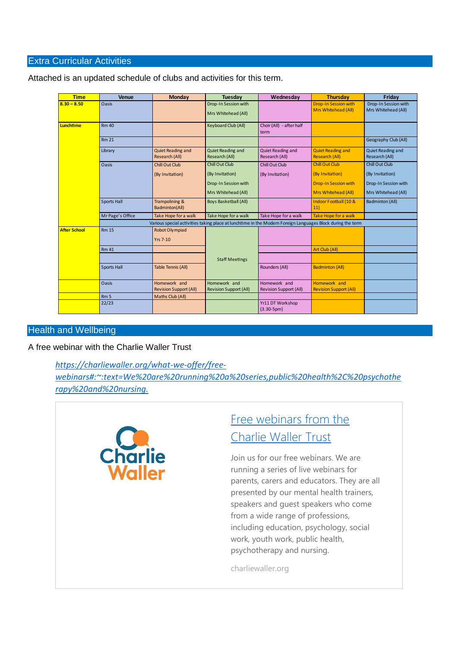### Extra Curricular Activities

| <b>Time</b>         | <b>Venue</b>                                                                                               | Monday                                        | Tuesday                                       | Wednesday                                     | <b>Thursday</b>                                    | Friday                                      |  |  |
|---------------------|------------------------------------------------------------------------------------------------------------|-----------------------------------------------|-----------------------------------------------|-----------------------------------------------|----------------------------------------------------|---------------------------------------------|--|--|
| $8.30 - 8.50$       | Oasis                                                                                                      |                                               | Drop-In Session with<br>Mrs Whitehead (All)   |                                               | <b>Drop-In Session with</b><br>Mrs Whitehead (All) | Drop-In Session with<br>Mrs Whitehead (All) |  |  |
| <b>Lunchtime</b>    | Rm 40                                                                                                      |                                               | Keyboard Club (All)                           | Choir (All) - after half<br>term              |                                                    |                                             |  |  |
|                     | <b>Rm 21</b>                                                                                               |                                               |                                               |                                               |                                                    | Geography Club (All)                        |  |  |
|                     | Library                                                                                                    | Quiet Reading and<br>Research (All)           | Quiet Reading and<br>Research (All)           | Quiet Reading and<br>Research (All)           | <b>Quiet Reading and</b><br><b>Research (All)</b>  | Quiet Reading and<br><b>Research (All)</b>  |  |  |
|                     | Oasis                                                                                                      | Chill Out Club                                | <b>Chill Out Club</b>                         | Chill Out Club                                | <b>Chill Out Club</b>                              | <b>Chill Out Club</b>                       |  |  |
|                     |                                                                                                            | (By Invitation)                               | (By Invitation)                               | (By Invitation)                               | (By Invitation)                                    | (By Invitation)                             |  |  |
|                     |                                                                                                            |                                               | Drop-In Session with                          |                                               | <b>Drop-In Session with</b>                        | Drop-In Session with                        |  |  |
|                     |                                                                                                            |                                               | Mrs Whitehead (All)                           |                                               | Mrs Whitehead (All)                                | Mrs Whitehead (All)                         |  |  |
|                     | Sports Hall                                                                                                | Trampolining &<br>Badminton(All)              | <b>Boys Basketball (All)</b>                  |                                               | Indoor Football (10 &<br>11)                       | Badminton (All)                             |  |  |
|                     | Mr Page's Office                                                                                           | Take Hope for a walk                          | Take Hope for a walk                          | Take Hope for a walk                          | Take Hope for a walk                               |                                             |  |  |
|                     | Various special activities taking place at lunchtime in the Modern Foreign Languages Block during the term |                                               |                                               |                                               |                                                    |                                             |  |  |
| <b>After School</b> | <b>Rm 15</b>                                                                                               | <b>Robot Olympiad</b><br><b>Yrs 7-10</b>      |                                               |                                               |                                                    |                                             |  |  |
|                     | <b>Rm 41</b>                                                                                               |                                               |                                               |                                               | Art Club (All)                                     |                                             |  |  |
|                     |                                                                                                            |                                               | <b>Staff Meetings</b>                         |                                               |                                                    |                                             |  |  |
|                     | Sports Hall                                                                                                | Table Tennis (All)                            |                                               | Rounders (All)                                | <b>Badminton (All)</b>                             |                                             |  |  |
|                     | Oasis                                                                                                      | Homework and<br><b>Revision Support (All)</b> | Homework and<br><b>Revision Support (All)</b> | Homework and<br><b>Revision Support (All)</b> | Homework and<br><b>Revision Support (All)</b>      |                                             |  |  |
|                     | Rm <sub>5</sub>                                                                                            | Maths Club (All)                              |                                               |                                               |                                                    |                                             |  |  |
|                     | 22/23                                                                                                      |                                               |                                               | Yr11 DT Workshop<br>$(3.30-5pm)$              |                                                    |                                             |  |  |

Attached is an updated schedule of clubs and activities for this term.

### Health and Wellbeing

A free webinar with the Charlie Waller Trust

*[https://charliewaller.org/what-we-offer/free](https://charliewaller.org/what-we-offer/free-webinars#:~:text=We%20are%20running%20a%20series,public%20health%2C%20psychotherapy%20and%20nursing.)[webinars#:~:text=We%20are%20running%20a%20series,public%20health%2C%20psychothe](https://charliewaller.org/what-we-offer/free-webinars#:~:text=We%20are%20running%20a%20series,public%20health%2C%20psychotherapy%20and%20nursing.) [rapy%20and%20nursing.](https://charliewaller.org/what-we-offer/free-webinars#:~:text=We%20are%20running%20a%20series,public%20health%2C%20psychotherapy%20and%20nursing.)*



# Free webinars from the [Charlie Waller Trust](https://charliewaller.org/what-we-offer/free-webinars#:~:text=We%20are%20running%20a%20series,public%20health%2C%20psychotherapy%20and%20nursing.)

Join us for our free webinars. We are running a series of live webinars for parents, carers and educators. They are all presented by our mental health trainers, speakers and guest speakers who come from a wide range of professions, including education, psychology, social work, youth work, public health, psychotherapy and nursing.

charliewaller.org